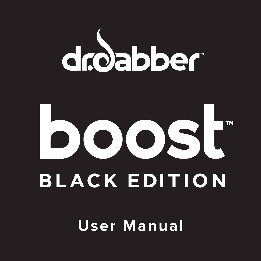



**User Manual**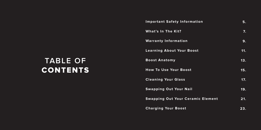# **TABLE OF CONTENTS**

| <b>Important Safety Information</b> |                                          | 5.  |
|-------------------------------------|------------------------------------------|-----|
| What's In The Kit?                  |                                          | 7.  |
| <b>Warranty Information</b>         |                                          | 9.  |
| <b>Learning About Your Boost</b>    |                                          | 11. |
| <b>Boost Anatomy</b>                |                                          | 13. |
| <b>How To Use Your Boost</b>        |                                          | 15. |
| <b>Cleaning Your Glass</b>          |                                          | 17. |
| <b>Swapping Out Your Nail</b>       |                                          | 19. |
|                                     | <b>Swapping Out Your Ceramic Element</b> | 21. |
| <b>Charging Your Boost</b>          |                                          | 23. |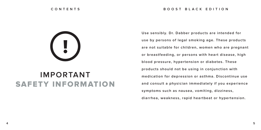# **!**

## **IMPORTANT** SAFETY INFORMATION

**Use sensibly. Dr. Dabber products are intended for use by persons of legal smoking age. These products are not suitable for children, women who are pregnant or breastfeeding, or persons with heart disease, high blood pressure, hypertension or diabetes. These products should not be using in conjunction with medication for depression or asthma. Discontinue use and consult a physician immediately if you experience symptoms such as nausea, vomiting, dizziness, diarrhea, weakness, rapid heartbeat or hypertension.**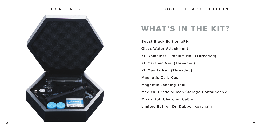#### **CONTENTS**



#### WHAT'S IN THE KIT?

**Boost Black Edition eRig Glass Water Attachment XL Domeless Titanium Nail (Threaded) XL Ceramic Nail (Threaded) XL Quartz Nail (Threaded) Magnetic Carb Cap Magnetic Loading Tool Medical Grade Silicon Storage Container x2 Micro USB Charging Cable Limited Edition Dr. Dabber Keychain**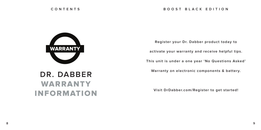

## **DR. DABBER** WARRANTY INFORMATION

**Register your Dr. Dabber product today to**

**activate your warranty and receive helpful tips.**

**This unit is under a one year 'No Questions Asked'** 

**Warranty on electronic components & battery.**

**Visit DrDabber.com/Register to get started!**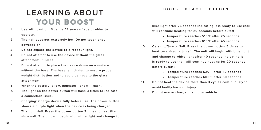## **LEARNING ABOUT** YOUR BOOST

- **1. Use with caution. Must be 21 years of age or older to operate.**
- **2. The nail becomes extremely hot. Do not touch once powered on.**
- **3. Do not expose the device to direct sunlight.**
- **4. Do not attempt to use the device without the glass attachment in place.**
- **5. Do not attempt to place the device down on a surface without the base. The base is included to ensure proper weight distribution and to avoid damage to the glass attachment.**
- **6. When the battery is low, indicator light will flash.**
- **7. The light on the power button will flash 3 times to indicate a connection issue.**
- **8. Charging: Charge device fully before use. The power button shows a purple light when the device is being charged.**
- **9. Titanium Nail: Press the power button 3 times to heat titanium nail. The unit will begin with white light and change to**

#### **BOOST BLACK EDITION**

**blue light after 25 seconds indicating it is ready to use (nail will continue heating for 20 seconds before cutoff)**

- **Temperature reaches 515°F after 25 seconds**
- **Temperature reaches 610°F after 45 seconds**
- **10. Ceramic/Quartz Nail: Press the power button 5 times to heat ceramic/quartz nail. The unit will begin with blue light and change to white light after 40 seconds indicating it is ready to use (nail will continue heating for 20 seconds before cutoff)**
	- **Temperature reaches 520°F after 40 seconds**
	- **Temperature reaches 600°F after 60 seconds**
- **11. Do not heat the device more than 3 cycles continuously to avoid bodily harm or injury.**
- **12. Do not use or charge in a motor vehicle.**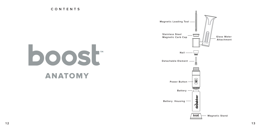**CONTENTS**



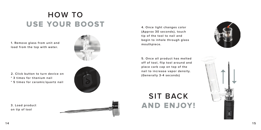## **HOW TO** USE YOUR BOOST

**1. Remove glass from unit and load from the top with water.**



**2. Click button to turn device on \* 3 times for titanium nail \* 5 times for ceramic/quartz nail**



**3. Load product on tip of tool**



**4. Once light changes color (Approx 30 seconds), touch tip of the tool to nail and begin to inhale through glass mouthpiece.**

**5. Once all product has melted off of tool, flip tool around and place carb cap on top of the nail to increase vapor density. (Generally 3-4 seconds)**

## **SIT BACK** AND ENJOY!



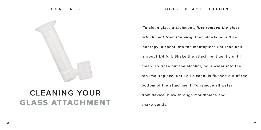

#### **CLEANING YOUR** GLASS ATTACHMENT

#### **BOOST BLACK EDITION**

 **To clean glass attachment, first remove the glass attachment from the eRig, then slowly pour 99% isopropyl alcohol into the mouthpiece until the unit is about 1/4 full. Shake the attachment gently until clean. To rinse out the alcohol, pour water into the top (mouthpiece) until all alcohol is flushed out of the bottom of the attachment. To remove all water from device, blow through mouthpiece and shake gently.**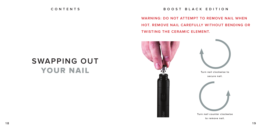#### **BOOST BLACK EDITION**

**WARNING: DO NOT ATTEMPT TO REMOVE NAIL WHEN HOT. REMOVE NAIL CAREFULLY WITHOUT BENDING OR TWISTING THE CERAMIC ELEMENT.** 



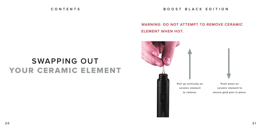**BOOST BLACK EDITION**

#### **WARNING: DO NOT ATTEMPT TO REMOVE CERAMIC ELEMENT WHEN HOT.**

## **SWAPPING OUT** YOUR CERAMIC ELEMENT

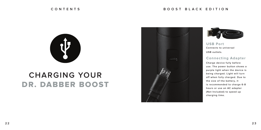#### **BOOST BLACK EDITION**



### **CHARGING YOUR** DR. DABBER BOOST





**USB Port Connects to universal USB outlets.**

**Connecting Adapter**

**Charge device fully before use. The power button shows a purple light when the device is being charged. Light will turn off when fully charged. Due to the size of the battery, it is recommended to charge 6-8 hours or use an AC adapter (Not Included) to speed up charging time.**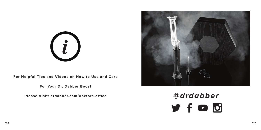

**For Helpful Tips and Videos on How to Use and Care**

**For Your Dr. Dabber Boost**

**Please Visit: drdabber.com/doctors-office**